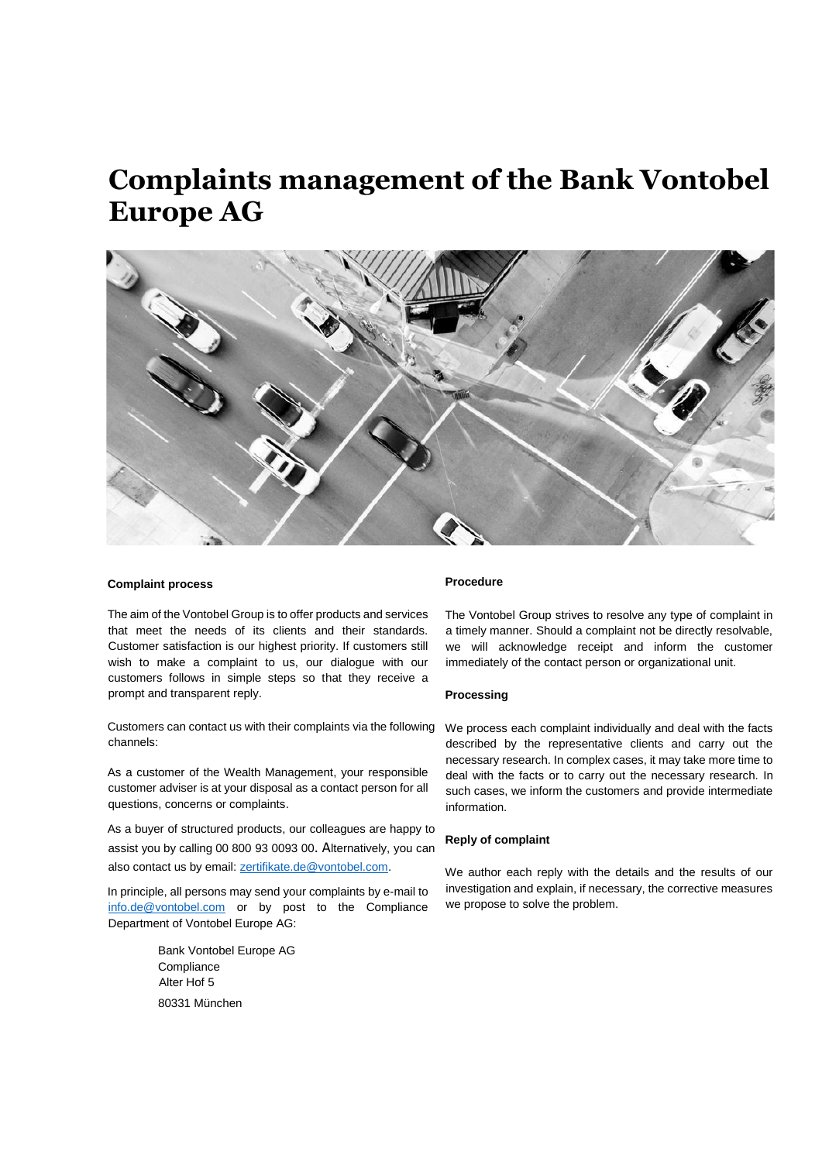# **Complaints management of the Bank Vontobel Europe AG**



## **Complaint process**

The aim of the Vontobel Group is to offer products and services that meet the needs of its clients and their standards. Customer satisfaction is our highest priority. If customers still wish to make a complaint to us, our dialogue with our customers follows in simple steps so that they receive a prompt and transparent reply.

Customers can contact us with their complaints via the following channels:

As a customer of the Wealth Management, your responsible customer adviser is at your disposal as a contact person for all questions, concerns or complaints.

As a buyer of structured products, our colleagues are happy to assist you by calling 00 800 93 0093 00. Alternatively, you can also contact us by email: [zertifikate.de@vontobel.com.](mailto:zertifikate.de@vontobel.com)

In principle, all persons may send your complaints by e-mail to [info.de@vontobel.com](mailto:info.de@vontobel.com) or by post to the Compliance Department of Vontobel Europe AG:

> Bank Vontobel Europe AG **Compliance** Alter Hof 5 80331 München

## **Procedure**

The Vontobel Group strives to resolve any type of complaint in a timely manner. Should a complaint not be directly resolvable, we will acknowledge receipt and inform the customer immediately of the contact person or organizational unit.

#### **Processing**

We process each complaint individually and deal with the facts described by the representative clients and carry out the necessary research. In complex cases, it may take more time to deal with the facts or to carry out the necessary research. In such cases, we inform the customers and provide intermediate information.

## **Reply of complaint**

We author each reply with the details and the results of our investigation and explain, if necessary, the corrective measures we propose to solve the problem.